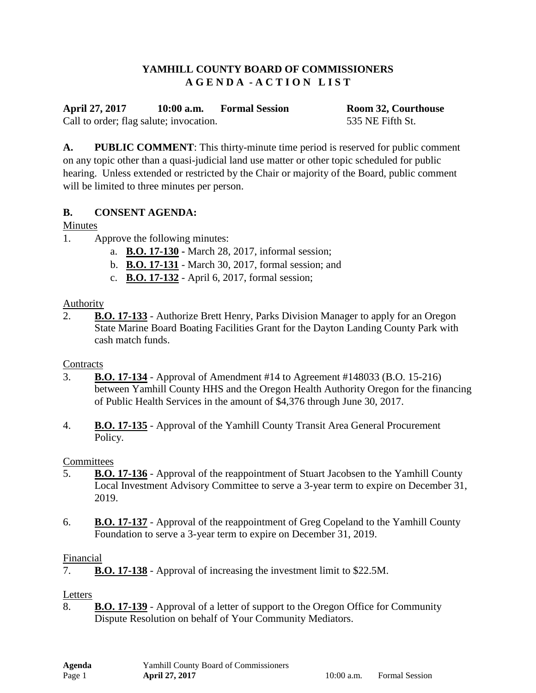## **YAMHILL COUNTY BOARD OF COMMISSIONERS A G E N D A - A C T I O N L I S T**

**April 27, 2017 10:00 a.m. Formal Session Room 32, Courthouse** Call to order; flag salute; invocation. 535 NE Fifth St.

**A. PUBLIC COMMENT**: This thirty-minute time period is reserved for public comment on any topic other than a quasi-judicial land use matter or other topic scheduled for public hearing. Unless extended or restricted by the Chair or majority of the Board, public comment will be limited to three minutes per person.

# **B. CONSENT AGENDA:**

# Minutes

- 1. Approve the following minutes:
	- a. **B.O. 17-130 -** March 28, 2017, informal session;
	- b. **B.O. 17-131** March 30, 2017, formal session; and
	- c. **B.O. 17-132** April 6, 2017, formal session;

## Authority

2. **B.O. 17-133** - Authorize Brett Henry, Parks Division Manager to apply for an Oregon State Marine Board Boating Facilities Grant for the Dayton Landing County Park with cash match funds.

## **Contracts**

- 3. **B.O. 17-134** Approval of Amendment #14 to Agreement #148033 (B.O. 15-216) between Yamhill County HHS and the Oregon Health Authority Oregon for the financing of Public Health Services in the amount of \$4,376 through June 30, 2017.
- 4. **B.O. 17-135** Approval of the Yamhill County Transit Area General Procurement Policy.

## **Committees**

- 5. **B.O. 17-136** Approval of the reappointment of Stuart Jacobsen to the Yamhill County Local Investment Advisory Committee to serve a 3-year term to expire on December 31, 2019.
- 6. **B.O. 17-137** Approval of the reappointment of Greg Copeland to the Yamhill County Foundation to serve a 3-year term to expire on December 31, 2019.

# Financial

7. **B.O. 17-138** - Approval of increasing the investment limit to \$22.5M.

## Letters

8. **B.O. 17-139** - Approval of a letter of support to the Oregon Office for Community Dispute Resolution on behalf of Your Community Mediators.